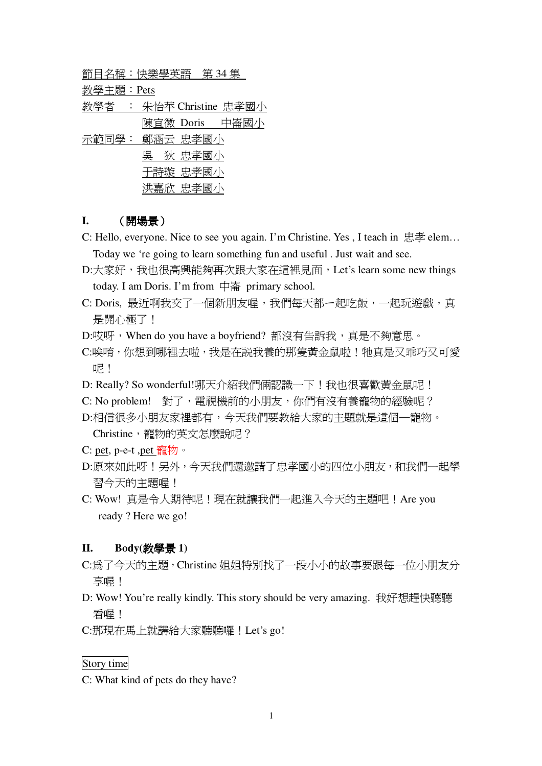節目名稱:快樂學英語 第 34 集

教學主題: Pets

教學者 : 朱怡苹 Christine 忠孝國小 陳宜徽 Doris 中崙國小

示範同學: 鄭涵云 忠孝國小 吳 狄 忠孝國小 于詩璇 忠孝國小 洪嘉欣 忠孝國小

# **I.** (開場景)

C: Hello, everyone. Nice to see you again. I'm Christine. Yes, I teach in  $\#$ 孝 elem...

Today we 're going to learn something fun and useful . Just wait and see.

- D:大家好,我也很高興能夠再次跟大家在這裡見面,Let's learn some new things today. I am Doris. I'm from  $\Box$  primary school.
- C: Doris, 最近啊我交了一個新朋友喔,我們每天都一起吃飯,一起玩遊戲,真 是開心極了!
- D:哎呀, When do you have a boyfriend? 都沒有告訴我, 真是不夠意思。
- C:唉唷,你想到哪裡去啦,我是在説我養的那隻黃金鼠啦!牠真是又乖巧又可愛 呢!
- D: Really? So wonderful!哪天介紹我們倆認識一下!我也很喜歡黃金鼠呢!
- C: No problem! 對了, 電視機前的小朋友, 你們有沒有養寵物的經驗呢?
- D:相信很多小朋友家裡都有,今天我們要教給大家的主題就是這個一寵物。 Christine,雷物的英文怎麼說呢?
- C: pet, p-e-t ,pet  $\frac{20}{10}$   $\frac{1}{20}$   $\frac{1}{20}$
- D:原來如此呀!另外,今天我們還激請了忠孝國小的四位小朋友,和我們一起學 習今天的主題喔!
- C: Wow! 真是令人期待呢!現在就讓我們一起進入今天的主題吧! Are you ready ? Here we go!

#### **II. Body**(教學景 1)

- C:為了今天的主題, Christine 姐姐特別找了一段小小的故事要跟每一位小朋友分 享喔!
- D: Wow! You're really kindly. This story should be very amazing. 我好想趕快聽聽 看喔!

C:那現在馬上就講給大家聽聽囉!Let's go!

# Story time

C: What kind of pets do they have?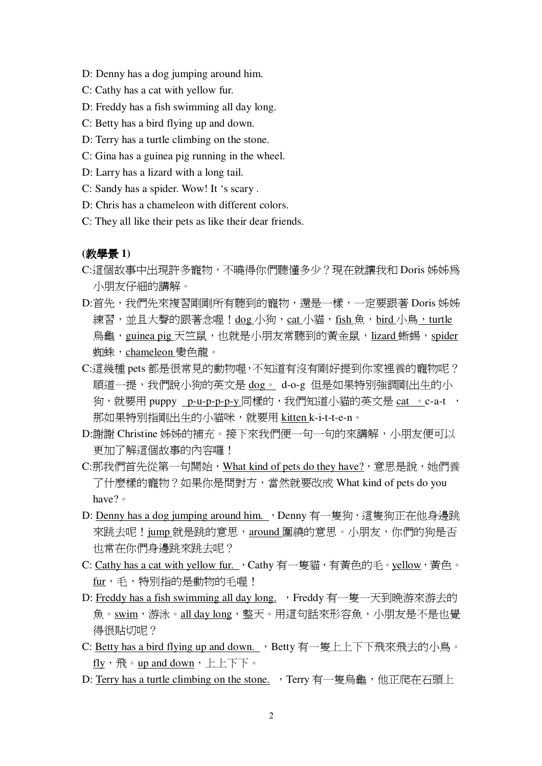- D: Denny has a dog jumping around him.
- C: Cathy has a cat with yellow fur.
- D: Freddy has a fish swimming all day long.
- C: Betty has a bird flying up and down.
- D: Terry has a turtle climbing on the stone.
- C: Gina has a guinea pig running in the wheel.
- D: Larry has a lizard with a long tail.
- C: Sandy has a spider. Wow! It 's scary .
- D: Chris has a chameleon with different colors.
- C: They all like their pets as like their dear friends.

#### **(**ඒᖂན **1)**

- C:這個故事中出現許多寵物,不曉得你們聽懂多少?現在就讓我和 Doris 姊姊為 小朋友仔細的講解。
- D:首先,我們先來複習剛剛所有聽到的寵物,還是一樣,一定要跟著 Doris 姊姊 練習,並且大聲的跟著念喔!dog 小狗,cat 小貓,fish 魚,bird 小鳥,turtle 烏龜, guinea pig 天竺鼠, 也就是小朋友常聽到的黃金鼠, lizard 蜥蜴, spider 蜘蛛, chameleon 變色龍。
- C:這幾種 pets 都是很常見的動物喔,不知道有沒有剛好提到你家裡養的寵物呢? 順道一提,我們說小狗的英文是 dog。 d-o-g 但是如果特別強調剛出生的小 狗,就要用 puppy \_p-u-p-p-p-y 同樣的,我們知道小貓的英文是 cat 。c-a-t , 那如果特別指剛出生的小貓咪,就要用 kitten k-i-t-t-e-n。
- D: 謝謝 Christine 姊姊的補充。接下來我們便一句一句的來講解,小朋友便可以 更加了解這個故事的內容囉!
- C:那我們首先從第一句開始, What kind of pets do they have?, 意思是說, 她們養 了什麼樣的寵物?如果你是問對方,當然就要改成 What kind of pets do you have? •
- D: Denny has a dog jumping around him. , Denny 有一隻狗, 這隻狗正在他身邊跳 來跳去呢!jump 就是跳的意思,around 圍繞的意思。小朋友,你們的狗是否 也常在你們身邊跳來跳去呢?
- C: Cathy has a cat with yellow fur. , Cathy 有一隻貓, 有黃色的毛。yellow, 黃色。 fur,毛,特別指的是動物的毛喔!
- D: Freddy has a fish swimming all day long. , Freddy 有一隻一天到晩游來游去的 魚。swim,游泳。all day long,整天。用這句話來形容魚,小朋友是不是也覺 得很貼切呢?
- C: Betty has a bird flying up and down. , Betty 有一隻上上下下飛來飛去的小鳥。  $fly \cdot \frac{1}{10}$  oup and down  $\cdot$   $\vdash$   $\vdash$   $\top$  $\top$  o
- D: Terry has a turtle climbing on the stone. , Terry 有一隻鳥龜, 他正爬在石頭上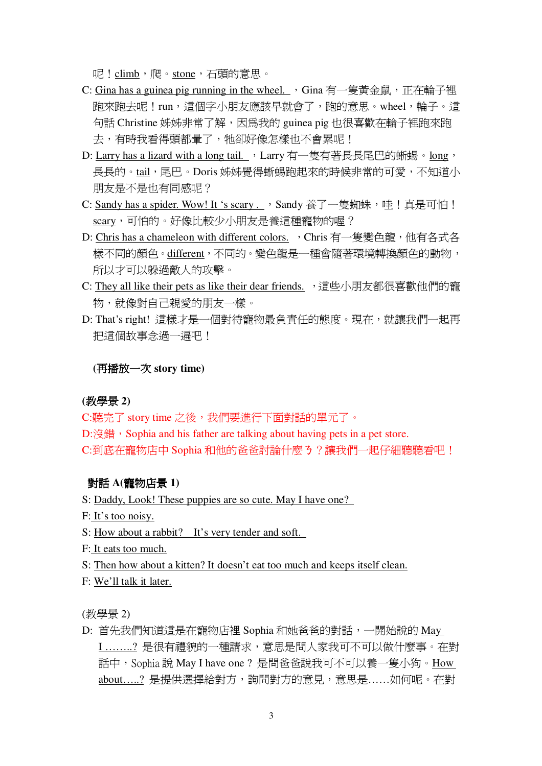呢! climb, 爬。stone, 石頭的意思。

- C: Gina has a guinea pig running in the wheel. , Gina 有一隻黃金鼠, 正在輪子裡 胞來跑去呢!run,這個字小朋友應該早就會了,跑的意思。wheel,輪子。這 句話 Christine 姊姊非常了解,因爲我的 guinea pig 也很喜歡在輪子裡跑來跑 去,有時我看得頭都暈了,牠卻好像怎樣也不會累呢!
- D: Larry has a lizard with a long tail. 入Larry 有一隻有著長長尾巴的蜥蜴。long、 長長的。tail,尾巴。Doris 姊姊覺得蜥蜴跑起來的時候非常的可愛,不知道小 朋友是不是也有同感呢?
- C: Sandy has a spider. Wow! It 's scary ..., Sandy 養了一隻蜘蛛,哇!真是可怕! scary,可怕的。好像比較少小朋友是養這種寵物的喔?
- D: Chris has a chameleon with different colors. , Chris 有一隻變色龍, 他有各式各 樣不同的顏色。different,不同的。變色龍是一種會隨著環境轉換顏色的動物, 所以才可以躲渦敵人的攻擊。
- C: They all like their pets as like their dear friends. , 這些小朋友都很喜歡他們的寵 物,就像對自己親愛的朋友一樣。
- D: That's right! 這樣才是一個對待寵物最負責任的態度。現在,就讓我們一起再 把這個故事念過一遍吧!

### **(**٦ᐾ࣋ԫڻ **story time)**

### **(**ඒᖂན **2)**

C:聽完了 story time 之後,我們要進行下面對話的單元了。

D:沒錯, Sophia and his father are talking about having pets in a pet store. C:到底在寵物店中 Sophia 和他的爸爸討論什麼 3?讓我們一起仔細聽聽看吧!

#### 對話 A(寵物店景 1)

S: Daddy, Look! These puppies are so cute. May I have one?

- F: It's too noisy.
- S: How about a rabbit? It's very tender and soft.
- F: It eats too much.

S: Then how about a kitten? It doesn't eat too much and keeps itself clean.

F: We'll talk it later.

(教學景 2)

 $D:$  首先我們知道這是在寵物店裡 Sophia 和她爸爸的對話,一開始說的 May I ………? 是很有禮貌的一種請求,意思是問人家我可不可以做什麼事。在對 話中,Sophia說 May I have one ? 是問爸爸說我可不可以養一隻小狗。How about……? 是提供選擇給對方,詢問對方的意見,意思是……如何呢。在對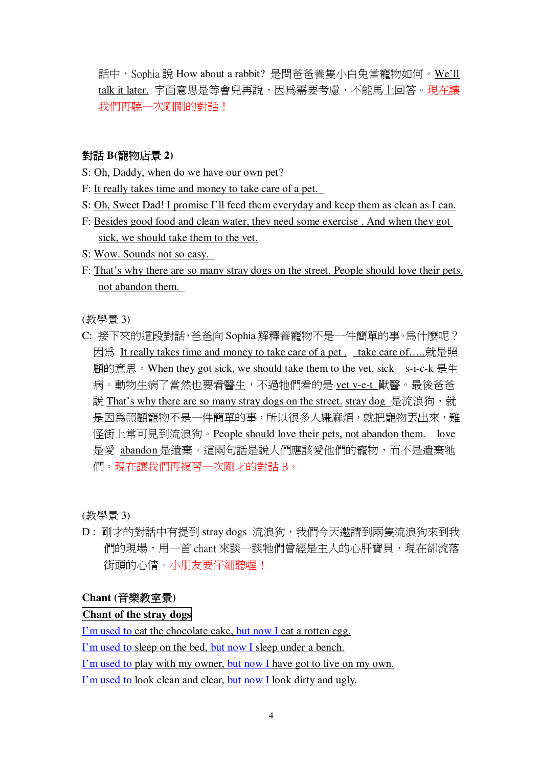話中, Sophia說 How about a rabbit? 是問爸爸養隻小白兔當寵物如何。We'll talk it later. 字面意思是等會兒再說, 因為需要考慮, 不能馬上回答。現在讓 我們再聽一次剛剛的對話!

## 對話 B(寵物店景 2)

- S: Oh, Daddy, when do we have our own pet?
- F: It really takes time and money to take care of a pet.
- S: Oh, Sweet Dad! I promise I'll feed them everyday and keep them as clean as I can.
- F: Besides good food and clean water, they need some exercise. And when they got sick, we should take them to the vet.
- S: Wow. Sounds not so easy.
- F: That's why there are so many stray dogs on the street. People should love their pets, not abandon them.

(教學景3)

C: 接下來的這段對話, 爸爸向 Sophia 解釋養寵物不是一件簡單的事。為什麼呢? 因為 It really takes time and money to take care of a pet. take care of.....就是照 顧的意思。When they got sick, we should take them to the vet. sick s-i-c-k 是生 病。動物生病了當然也要看醫生,不過牠們看的是 vet v-e-t 獸醫。最後爸爸 說 That's why there are so many stray dogs on the street, stray dog 是流浪狗, 就 是因為照顧寵物不是一件簡單的事,所以很多人嫌麻煩,就把寵物丟出來,難 怪街上常可見到流浪狗。People should love their pets, not abandon them. love 是愛 abandon 是潰棄。這兩句話是說人們應該愛他們的寵物,而不是潰棄牠 們。現在讓我們再複習一次剛才的對話B。

(教學景3)

D: 剛才的對話中有提到 stray dogs 流浪狗, 我們今天激請到兩隻流浪狗來到我 們的現場,用一首 chant 來談一談牠們曾經是主人的心肝寶貝,現在卻流落 街頭的心情。小朋友要仔細聽喔!

### Chant (音樂教室景)

## Chant of the stray dogs

I'm used to eat the chocolate cake, but now I eat a rotten egg.

I'm used to sleep on the bed, but now I sleep under a bench.

I'm used to play with my owner, but now I have got to live on my own.

I'm used to look clean and clear, but now I look dirty and ugly.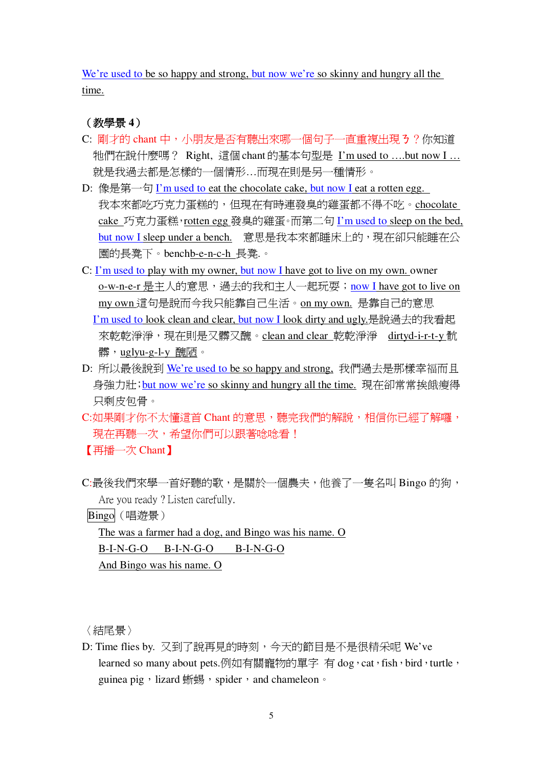We're used to be so happy and strong, but now we're so skinny and hungry all the time.

(教學景4)

- C: 剛才的 chant 中, 小朋友是否有聽出來哪一個句子一直重複出現 3 ? 你知道 牠們在說什麼嗎? Right, 這個 chant 的基本句型是 I'm used to ....but now I ... 就是我過去都是怎樣的一個情形...而現在則是另一種情形。
- D: 像是第一句 I'm used to eat the chocolate cake, but now I eat a rotten egg. 我本來都吃巧克力蛋糕的,但現在有時連發臭的雞蛋都不得不吃。chocolate cake 巧克力蛋糕, rotten egg 發臭的雞蛋。而第二句 I'm used to sleep on the bed, but now I sleep under a bench. 意思是我本來都睡床上的,現在卻只能睡在公 園的長凳下。benchb-e-n-c-h 長凳.。
- C: I'm used to play with my owner, but now I have got to live on my own, owner o-w-n-e-r 是主人的意思,過去的我和主人一起玩耍;now I have got to live on my own 這句是說而今我只能靠自己生活。on my own. 是靠自己的意思 I'm used to look clean and clear, but now I look dirty and ugly.是說過去的我看起 來乾乾淨淨,現在則是又髒又醜。clean and clear 乾乾淨淨 dirtyd-i-r-t-y 骯 髒, uglyu-g-l-y 醜陋。
- D: 所以最後說到 We're used to be so happy and strong, 我們過去是那樣幸福而且 身強力壯; but now we're so skinny and hungry all the time. 現在卻常常挨餓瘦得 只剩皮包骨。
- C:如果剛才你不太懂這首 Chant 的意思,聽完我們的解說,相信你已經了解囉, 現在再聽一次,希望你們可以跟著唸唸看! 【再播一次 Chant】
- C:最後我們來學一首好聽的歌,是關於一個農夫,他養了一隻名叫 Bingo 的狗, Are you ready? Listen carefully.

Bingo (唱游景)

The was a farmer had a dog, and Bingo was his name. O  $B-I-N-G-O$   $B-I-N-G-O$   $B-I-N-G-O$ 

And Bingo was his name. O

〈結尾景〉

D: Time flies by. 又到了說再見的時刻,今天的節目是不是很精采呢 We've learned so many about pets.例如有關寵物的單字 有 dog , cat , fish , bird , turtle , guinea pig, lizard 蜥蜴, spider, and chameleon。